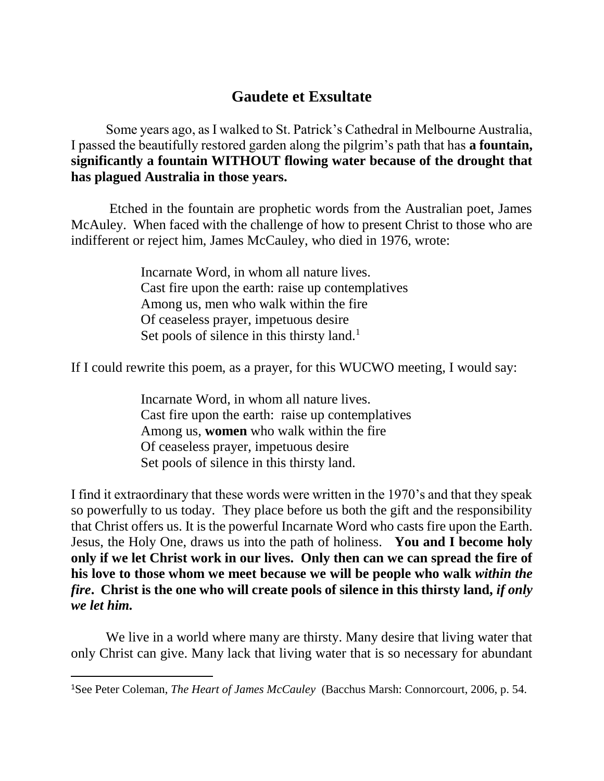## **Gaudete et Exsultate**

Some years ago, as I walked to St. Patrick's Cathedral in Melbourne Australia, I passed the beautifully restored garden along the pilgrim's path that has **a fountain, significantly a fountain WITHOUT flowing water because of the drought that has plagued Australia in those years.** 

Etched in the fountain are prophetic words from the Australian poet, James McAuley. When faced with the challenge of how to present Christ to those who are indifferent or reject him, James McCauley, who died in 1976, wrote:

> Incarnate Word, in whom all nature lives. Cast fire upon the earth: raise up contemplatives Among us, men who walk within the fire Of ceaseless prayer, impetuous desire Set pools of silence in this thirsty land. $<sup>1</sup>$ </sup>

If I could rewrite this poem, as a prayer, for this WUCWO meeting, I would say:

Incarnate Word, in whom all nature lives. Cast fire upon the earth: raise up contemplatives Among us, **women** who walk within the fire Of ceaseless prayer, impetuous desire Set pools of silence in this thirsty land.

I find it extraordinary that these words were written in the 1970's and that they speak so powerfully to us today. They place before us both the gift and the responsibility that Christ offers us. It is the powerful Incarnate Word who casts fire upon the Earth. Jesus, the Holy One, draws us into the path of holiness. **You and I become holy only if we let Christ work in our lives. Only then can we can spread the fire of his love to those whom we meet because we will be people who walk** *within the fire***. Christ is the one who will create pools of silence in this thirsty land,** *if only we let him.* 

We live in a world where many are thirsty. Many desire that living water that only Christ can give. Many lack that living water that is so necessary for abundant

 $\overline{a}$ 

<sup>1</sup>See Peter Coleman, *The Heart of James McCauley* (Bacchus Marsh: Connorcourt, 2006, p. 54.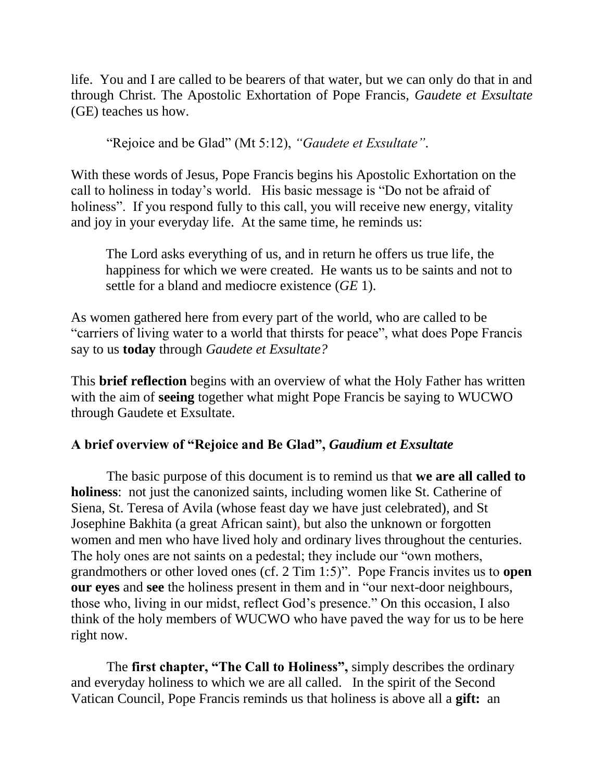life. You and I are called to be bearers of that water, but we can only do that in and through Christ. The Apostolic Exhortation of Pope Francis, *Gaudete et Exsultate* (GE) teaches us how.

"Rejoice and be Glad" (Mt 5:12), *"Gaudete et Exsultate"*.

With these words of Jesus, Pope Francis begins his Apostolic Exhortation on the call to holiness in today's world. His basic message is "Do not be afraid of holiness". If you respond fully to this call, you will receive new energy, vitality and joy in your everyday life. At the same time, he reminds us:

The Lord asks everything of us, and in return he offers us true life, the happiness for which we were created. He wants us to be saints and not to settle for a bland and mediocre existence (*GE* 1).

As women gathered here from every part of the world, who are called to be "carriers of living water to a world that thirsts for peace", what does Pope Francis say to us **today** through *Gaudete et Exsultate?*

This **brief reflection** begins with an overview of what the Holy Father has written with the aim of **seeing** together what might Pope Francis be saying to WUCWO through Gaudete et Exsultate.

## **A brief overview of "Rejoice and Be Glad",** *Gaudium et Exsultate*

The basic purpose of this document is to remind us that **we are all called to holiness**: not just the canonized saints, including women like St. Catherine of Siena, St. Teresa of Avila (whose feast day we have just celebrated), and St Josephine Bakhita (a great African saint), but also the unknown or forgotten women and men who have lived holy and ordinary lives throughout the centuries. The holy ones are not saints on a pedestal; they include our "own mothers, grandmothers or other loved ones (cf. 2 Tim 1:5)". Pope Francis invites us to **open our eyes** and **see** the holiness present in them and in "our next-door neighbours, those who, living in our midst, reflect God's presence." On this occasion, I also think of the holy members of WUCWO who have paved the way for us to be here right now.

The **first chapter, "The Call to Holiness",** simply describes the ordinary and everyday holiness to which we are all called. In the spirit of the Second Vatican Council, Pope Francis reminds us that holiness is above all a **gift:** an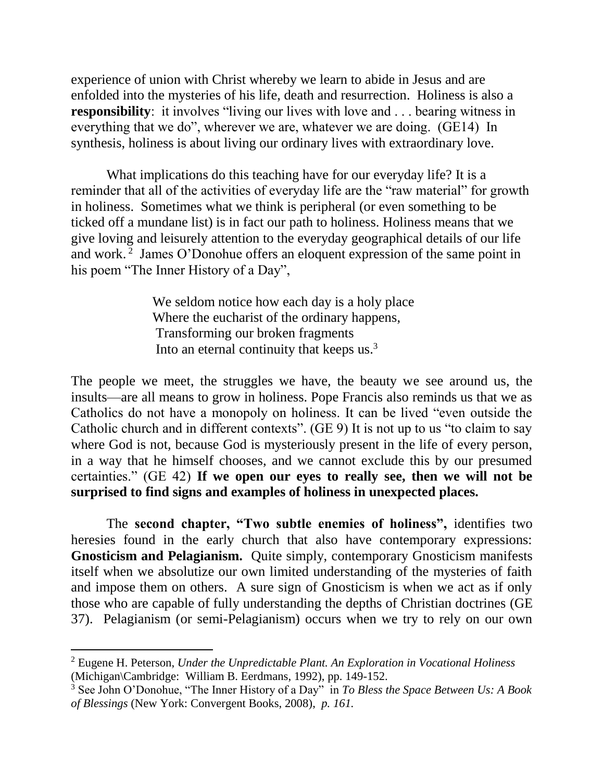experience of union with Christ whereby we learn to abide in Jesus and are enfolded into the mysteries of his life, death and resurrection. Holiness is also a **responsibility**: it involves "living our lives with love and . . . bearing witness in everything that we do", wherever we are, whatever we are doing. (GE14) In synthesis, holiness is about living our ordinary lives with extraordinary love.

What implications do this teaching have for our everyday life? It is a reminder that all of the activities of everyday life are the "raw material" for growth in holiness. Sometimes what we think is peripheral (or even something to be ticked off a mundane list) is in fact our path to holiness. Holiness means that we give loving and leisurely attention to the everyday geographical details of our life and work.<sup>2</sup> James O'Donohue offers an eloquent expression of the same point in his poem "The Inner History of a Day",

> We seldom notice how each day is a holy place Where the eucharist of the ordinary happens, Transforming our broken fragments Into an eternal continuity that keeps us.<sup>3</sup>

The people we meet, the struggles we have, the beauty we see around us, the insults—are all means to grow in holiness. Pope Francis also reminds us that we as Catholics do not have a monopoly on holiness. It can be lived "even outside the Catholic church and in different contexts". (GE 9) It is not up to us "to claim to say where God is not, because God is mysteriously present in the life of every person, in a way that he himself chooses, and we cannot exclude this by our presumed certainties." (GE 42) **If we open our eyes to really see, then we will not be surprised to find signs and examples of holiness in unexpected places.**

The **second chapter, "Two subtle enemies of holiness",** identifies two heresies found in the early church that also have contemporary expressions: **Gnosticism and Pelagianism.** Quite simply, contemporary Gnosticism manifests itself when we absolutize our own limited understanding of the mysteries of faith and impose them on others. A sure sign of Gnosticism is when we act as if only those who are capable of fully understanding the depths of Christian doctrines (GE 37). Pelagianism (or semi-Pelagianism) occurs when we try to rely on our own

 $\overline{a}$ 

<sup>2</sup> Eugene H. Peterson, *Under the Unpredictable Plant. An Exploration in Vocational Holiness* (Michigan\Cambridge: William B. Eerdmans, 1992), pp. 149-152.

<sup>3</sup> See John O'Donohue, "The Inner History of a Day" in *To Bless the Space Between Us: A Book of Blessings* (New York: Convergent Books, 2008), *p. 161.*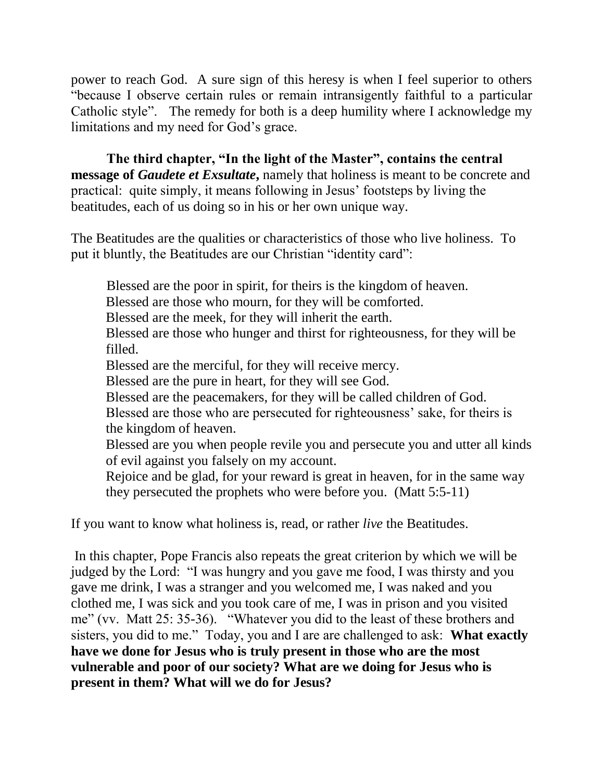power to reach God. A sure sign of this heresy is when I feel superior to others "because I observe certain rules or remain intransigently faithful to a particular Catholic style". The remedy for both is a deep humility where I acknowledge my limitations and my need for God's grace.

**The third chapter, "In the light of the Master", contains the central message of** *Gaudete et Exsultate*, namely that holiness is meant to be concrete and practical: quite simply, it means following in Jesus' footsteps by living the beatitudes, each of us doing so in his or her own unique way.

The Beatitudes are the qualities or characteristics of those who live holiness. To put it bluntly, the Beatitudes are our Christian "identity card":

Blessed are the poor in spirit, for theirs is the kingdom of heaven. Blessed are those who mourn, for they will be comforted. Blessed are the meek, for they will inherit the earth. Blessed are those who hunger and thirst for righteousness, for they will be filled. Blessed are the merciful, for they will receive mercy. Blessed are the pure in heart, for they will see God. Blessed are the peacemakers, for they will be called children of God. Blessed are those who are persecuted for righteousness' sake, for theirs is the kingdom of heaven. Blessed are you when people revile you and persecute you and utter all kinds of evil against you falsely on my account. Rejoice and be glad, for your reward is great in heaven, for in the same way they persecuted the prophets who were before you. (Matt 5:5-11)

If you want to know what holiness is, read, or rather *live* the Beatitudes.

In this chapter, Pope Francis also repeats the great criterion by which we will be judged by the Lord: "I was hungry and you gave me food, I was thirsty and you gave me drink, I was a stranger and you welcomed me, I was naked and you clothed me, I was sick and you took care of me, I was in prison and you visited me" (vv. Matt 25: 35-36). "Whatever you did to the least of these brothers and sisters, you did to me." Today, you and I are are challenged to ask: **What exactly have we done for Jesus who is truly present in those who are the most vulnerable and poor of our society? What are we doing for Jesus who is present in them? What will we do for Jesus?**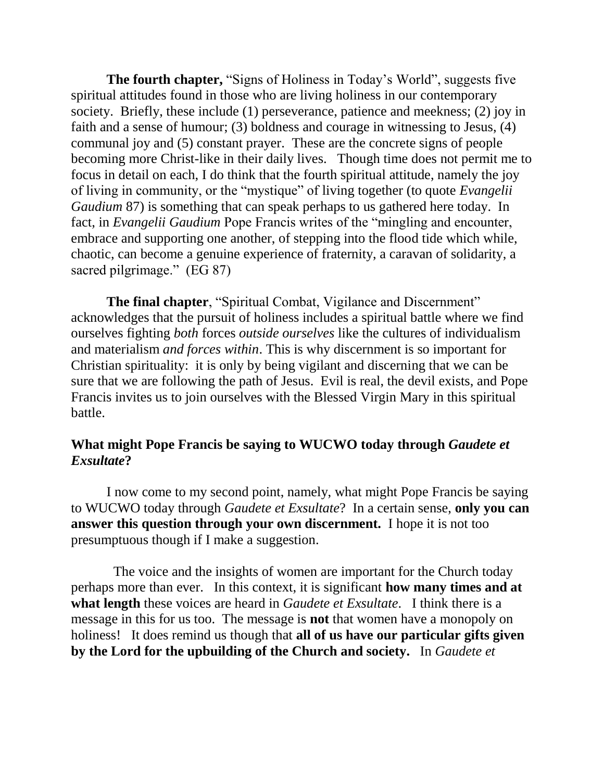**The fourth chapter,** "Signs of Holiness in Today's World", suggests five spiritual attitudes found in those who are living holiness in our contemporary society. Briefly, these include (1) perseverance, patience and meekness; (2) joy in faith and a sense of humour; (3) boldness and courage in witnessing to Jesus, (4) communal joy and (5) constant prayer. These are the concrete signs of people becoming more Christ-like in their daily lives. Though time does not permit me to focus in detail on each, I do think that the fourth spiritual attitude, namely the joy of living in community, or the "mystique" of living together (to quote *Evangelii Gaudium* 87) is something that can speak perhaps to us gathered here today. In fact, in *Evangelii Gaudium* Pope Francis writes of the "mingling and encounter, embrace and supporting one another, of stepping into the flood tide which while, chaotic, can become a genuine experience of fraternity, a caravan of solidarity, a sacred pilgrimage." (EG 87)

**The final chapter**, "Spiritual Combat, Vigilance and Discernment" acknowledges that the pursuit of holiness includes a spiritual battle where we find ourselves fighting *both* forces *outside ourselves* like the cultures of individualism and materialism *and forces within*. This is why discernment is so important for Christian spirituality: it is only by being vigilant and discerning that we can be sure that we are following the path of Jesus. Evil is real, the devil exists, and Pope Francis invites us to join ourselves with the Blessed Virgin Mary in this spiritual battle.

## **What might Pope Francis be saying to WUCWO today through** *Gaudete et Exsultate***?**

I now come to my second point, namely, what might Pope Francis be saying to WUCWO today through *Gaudete et Exsultate*?In a certain sense, **only you can answer this question through your own discernment.** I hope it is not too presumptuous though if I make a suggestion.

 The voice and the insights of women are important for the Church today perhaps more than ever. In this context, it is significant **how many times and at what length** these voices are heard in *Gaudete et Exsultate*. I think there is a message in this for us too. The message is **not** that women have a monopoly on holiness! It does remind us though that **all of us have our particular gifts given by the Lord for the upbuilding of the Church and society.** In *Gaudete et*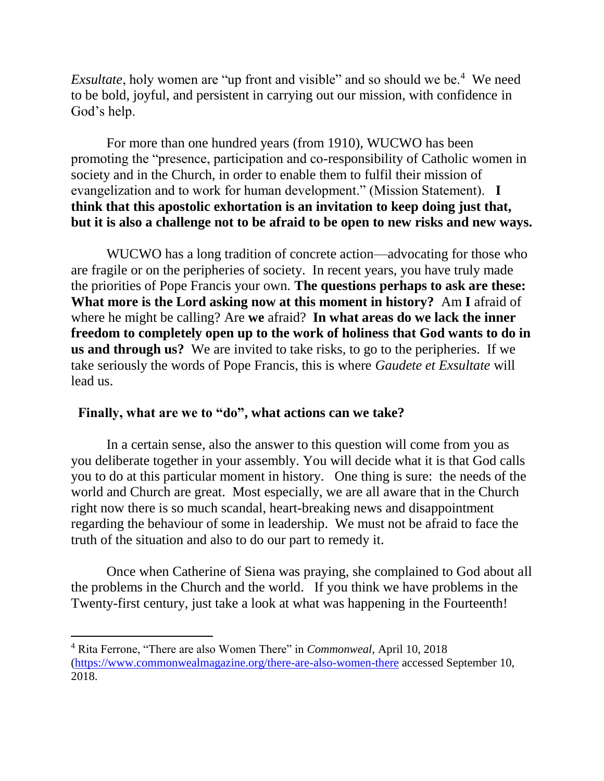*Exsultate*, holy women are "up front and visible" and so should we be.<sup>4</sup> We need to be bold, joyful, and persistent in carrying out our mission, with confidence in God's help.

For more than one hundred years (from 1910), WUCWO has been promoting the "presence, participation and co-responsibility of Catholic women in society and in the Church, in order to enable them to fulfil their mission of evangelization and to work for human development." (Mission Statement). **I think that this apostolic exhortation is an invitation to keep doing just that, but it is also a challenge not to be afraid to be open to new risks and new ways.** 

WUCWO has a long tradition of concrete action—advocating for those who are fragile or on the peripheries of society. In recent years, you have truly made the priorities of Pope Francis your own. **The questions perhaps to ask are these: What more is the Lord asking now at this moment in history?** Am **I** afraid of where he might be calling? Are **we** afraid? **In what areas do we lack the inner freedom to completely open up to the work of holiness that God wants to do in us and through us?** We are invited to take risks, to go to the peripheries. If we take seriously the words of Pope Francis, this is where *Gaudete et Exsultate* will lead us.

## **Finally, what are we to "do", what actions can we take?**

 $\overline{a}$ 

In a certain sense, also the answer to this question will come from you as you deliberate together in your assembly. You will decide what it is that God calls you to do at this particular moment in history. One thing is sure: the needs of the world and Church are great. Most especially, we are all aware that in the Church right now there is so much scandal, heart-breaking news and disappointment regarding the behaviour of some in leadership. We must not be afraid to face the truth of the situation and also to do our part to remedy it.

 Once when Catherine of Siena was praying, she complained to God about all the problems in the Church and the world. If you think we have problems in the Twenty-first century, just take a look at what was happening in the Fourteenth!

<sup>4</sup> Rita Ferrone, "There are also Women There" in *Commonweal*, April 10, 2018 [\(https://www.commonwealmagazine.org/there-are-also-women-there](https://www.commonwealmagazine.org/there-are-also-women-there) accessed September 10, 2018.